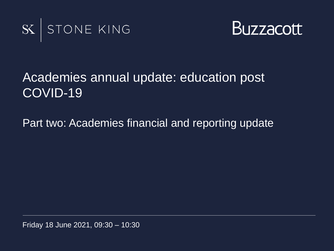



### Academies annual update: education post COVID-19

Part two: Academies financial and reporting update

Friday 18 June 2021, 09:30 – 10:30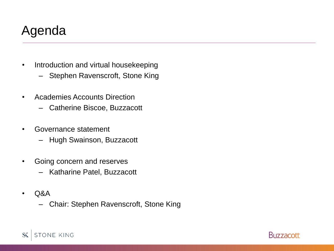## Agenda

- Introduction and virtual housekeeping
	- Stephen Ravenscroft, Stone King
- Academies Accounts Direction
	- Catherine Biscoe, Buzzacott
- Governance statement
	- Hugh Swainson, Buzzacott
- Going concern and reserves
	- Katharine Patel, Buzzacott
- $O&A$ 
	- Chair: Stephen Ravenscroft, Stone King

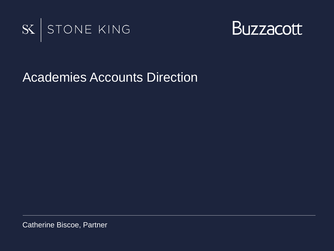



#### Academies Accounts Direction

Catherine Biscoe, Partner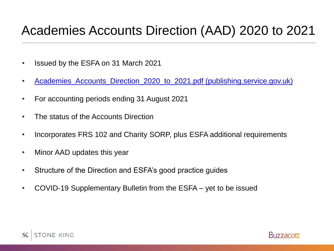## Academies Accounts Direction (AAD) 2020 to 2021

- Issued by the ESFA on 31 March 2021
- [Academies\\_Accounts\\_Direction\\_2020\\_to\\_2021.pdf \(publishing.service.gov.uk\)](https://assets.publishing.service.gov.uk/government/uploads/system/uploads/attachment_data/file/975322/Academies_Accounts_Direction_2020_to_2021.pdf)
- For accounting periods ending 31 August 2021
- The status of the Accounts Direction
- Incorporates FRS 102 and Charity SORP, plus ESFA additional requirements
- Minor AAD updates this year
- Structure of the Direction and ESFA's good practice guides
- COVID-19 Supplementary Bulletin from the ESFA yet to be issued



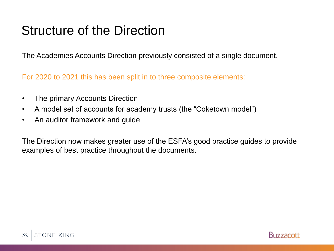## Structure of the Direction

The Academies Accounts Direction previously consisted of a single document.

For 2020 to 2021 this has been split in to three composite elements:

- The primary Accounts Direction
- A model set of accounts for academy trusts (the "Coketown model")
- An auditor framework and guide

The Direction now makes greater use of the ESFA's good practice guides to provide examples of best practice throughout the documents.



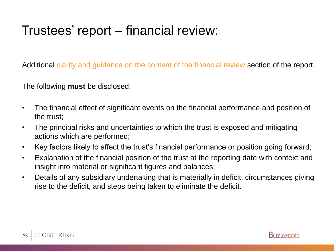Additional clarity and guidance on the content of the financial review section of the report.

The following **must** be disclosed:

- The financial effect of significant events on the financial performance and position of the trust;
- The principal risks and uncertainties to which the trust is exposed and mitigating actions which are performed;
- Key factors likely to affect the trust's financial performance or position going forward;
- Explanation of the financial position of the trust at the reporting date with context and insight into material or significant figures and balances;
- Details of any subsidiary undertaking that is materially in deficit, circumstances giving rise to the deficit, and steps being taken to eliminate the deficit.



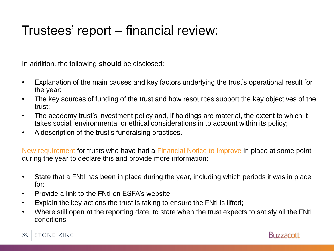In addition, the following **should** be disclosed:

- Explanation of the main causes and key factors underlying the trust's operational result for the year;
- The key sources of funding of the trust and how resources support the key objectives of the trust;
- The academy trust's investment policy and, if holdings are material, the extent to which it takes social, environmental or ethical considerations in to account within its policy;
- A description of the trust's fundraising practices.

New requirement for trusts who have had a Financial Notice to Improve in place at some point during the year to declare this and provide more information:

- State that a FNtI has been in place during the year, including which periods it was in place for;
- Provide a link to the FNtI on ESFA's website;
- Explain the key actions the trust is taking to ensure the FNtI is lifted;
- Where still open at the reporting date, to state when the trust expects to satisfy all the FNtI conditions.



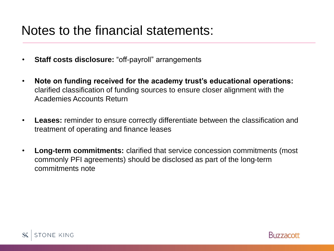## Notes to the financial statements:

- **Staff costs disclosure:** "off-payroll" arrangements
- **Note on funding received for the academy trust's educational operations:**  clarified classification of funding sources to ensure closer alignment with the Academies Accounts Return
- **Leases:** reminder to ensure correctly differentiate between the classification and treatment of operating and finance leases
- **Long-term commitments:** clarified that service concession commitments (most commonly PFI agreements) should be disclosed as part of the long-term commitments note



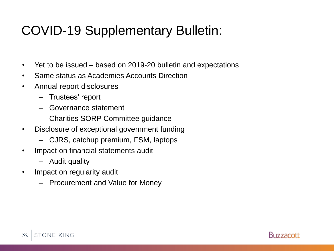# COVID-19 Supplementary Bulletin:

- Yet to be issued based on 2019-20 bulletin and expectations
- Same status as Academies Accounts Direction
- Annual report disclosures
	- Trustees' report
	- Governance statement
	- Charities SORP Committee guidance
- Disclosure of exceptional government funding
	- CJRS, catchup premium, FSM, laptops
- Impact on financial statements audit
	- Audit quality
- Impact on regularity audit
	- Procurement and Value for Money



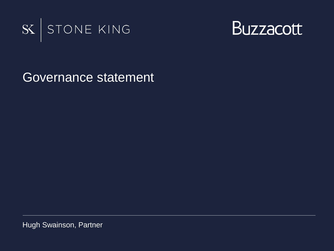



Governance statement

Hugh Swainson, Partner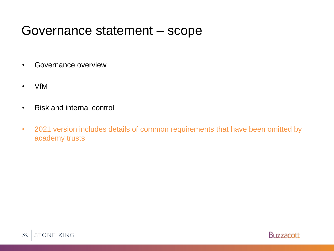#### Governance statement – scope

- Governance overview
- VfM
- Risk and internal control
- 2021 version includes details of common requirements that have been omitted by academy trusts



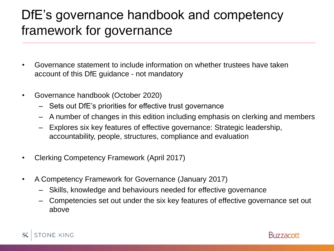## DfE's governance handbook and competency framework for governance

- Governance statement to include information on whether trustees have taken account of this DfE guidance - not mandatory
- Governance handbook (October 2020)
	- Sets out DfE's priorities for effective trust governance
	- A number of changes in this edition including emphasis on clerking and members
	- Explores six key features of effective governance: Strategic leadership, accountability, people, structures, compliance and evaluation
- Clerking Competency Framework (April 2017)
- A Competency Framework for Governance (January 2017)
	- Skills, knowledge and behaviours needed for effective governance
	- Competencies set out under the six key features of effective governance set out above



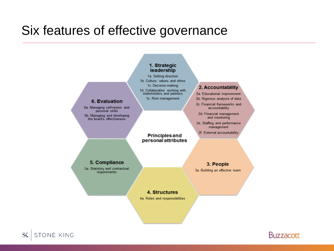## Six features of effective governance





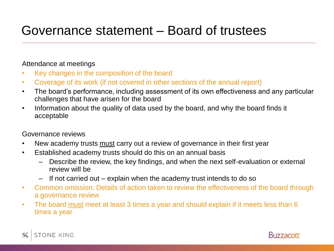## Governance statement – Board of trustees

#### Attendance at meetings

- Key changes in the composition of the board
- Coverage of its work (if not covered in other sections of the annual report)
- The board's performance, including assessment of its own effectiveness and any particular challenges that have arisen for the board
- Information about the quality of data used by the board, and why the board finds it acceptable

#### Governance reviews

- New academy trusts must carry out a review of governance in their first year
- Established academy trusts should do this on an annual basis
	- Describe the review, the key findings, and when the next self-evaluation or external review will be
	- If not carried out explain when the academy trust intends to do so
- Common omission: Details of action taken to review the effectiveness of the board through a governance review
- The board must meet at least 3 times a year and should explain if it meets less than 6 times a year



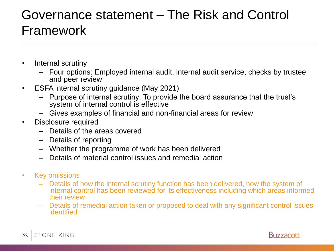## Governance statement – The Risk and Control Framework

- Internal scrutiny
	- Four options: Employed internal audit, internal audit service, checks by trustee and peer review
- ESFA internal scrutiny guidance (May 2021)
	- Purpose of internal scrutiny: To provide the board assurance that the trust's system of internal control is effective
	- Gives examples of financial and non-financial areas for review
- Disclosure required
	- Details of the areas covered
	- Details of reporting
	- Whether the programme of work has been delivered
	- Details of material control issues and remedial action
- Key omissions
	- Details of how the internal scrutiny function has been delivered, how the system of internal control has been reviewed for its effectiveness including which areas informed their review
	- Details of remedial action taken or proposed to deal with any significant control issues identified



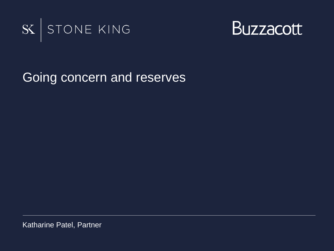



Going concern and reserves

Katharine Patel, Partner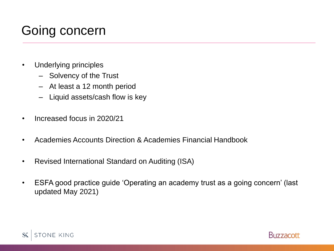# Going concern

- Underlying principles
	- Solvency of the Trust
	- At least a 12 month period
	- Liquid assets/cash flow is key
- Increased focus in 2020/21
- Academies Accounts Direction & Academies Financial Handbook
- Revised International Standard on Auditing (ISA)
- ESFA good practice guide 'Operating an academy trust as a going concern' (last updated May 2021)



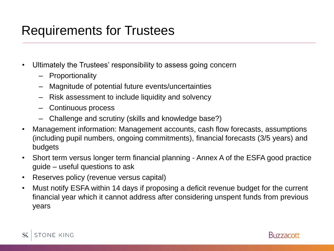## Requirements for Trustees

- Ultimately the Trustees' responsibility to assess going concern
	- Proportionality
	- Magnitude of potential future events/uncertainties
	- Risk assessment to include liquidity and solvency
	- Continuous process
	- Challenge and scrutiny (skills and knowledge base?)
- Management information: Management accounts, cash flow forecasts, assumptions (including pupil numbers, ongoing commitments), financial forecasts (3/5 years) and budgets
- Short term versus longer term financial planning Annex A of the ESFA good practice guide – useful questions to ask
- Reserves policy (revenue versus capital)
- Must notify ESFA within 14 days if proposing a deficit revenue budget for the current financial year which it cannot address after considering unspent funds from previous years



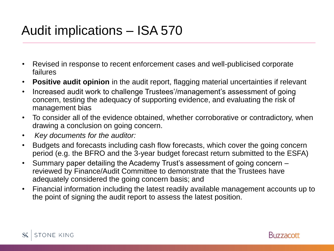# Audit implications – ISA 570

- Revised in response to recent enforcement cases and well-publicised corporate failures
- **Positive audit opinion** in the audit report, flagging material uncertainties if relevant
- Increased audit work to challenge Trustees'/management's assessment of going concern, testing the adequacy of supporting evidence, and evaluating the risk of management bias
- To consider all of the evidence obtained, whether corroborative or contradictory, when drawing a conclusion on going concern.
- *Key documents for the auditor:*
- Budgets and forecasts including cash flow forecasts, which cover the going concern period (e.g. the BFRO and the 3-year budget forecast return submitted to the ESFA)
- Summary paper detailing the Academy Trust's assessment of going concern reviewed by Finance/Audit Committee to demonstrate that the Trustees have adequately considered the going concern basis; and
- Financial information including the latest readily available management accounts up to the point of signing the audit report to assess the latest position.



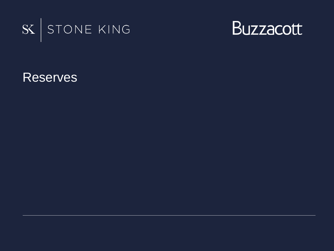



Reserves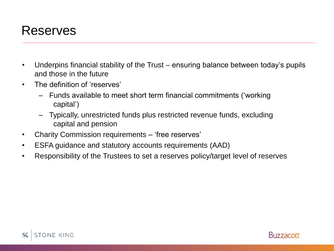

- Underpins financial stability of the Trust ensuring balance between today's pupils and those in the future
- The definition of 'reserves'
	- Funds available to meet short term financial commitments ('working capital')
	- Typically, unrestricted funds plus restricted revenue funds, excluding capital and pension
- Charity Commission requirements 'free reserves'
- ESFA guidance and statutory accounts requirements (AAD)
- Responsibility of the Trustees to set a reserves policy/target level of reserves



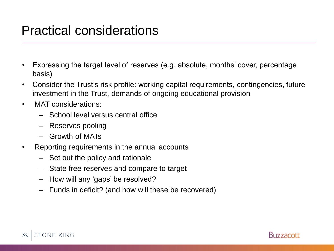#### Practical considerations

- Expressing the target level of reserves (e.g. absolute, months' cover, percentage basis)
- Consider the Trust's risk profile: working capital requirements, contingencies, future investment in the Trust, demands of ongoing educational provision
- MAT considerations:
	- School level versus central office
	- Reserves pooling
	- Growth of MATs
- Reporting requirements in the annual accounts
	- Set out the policy and rationale
	- State free reserves and compare to target
	- How will any 'gaps' be resolved?
	- Funds in deficit? (and how will these be recovered)



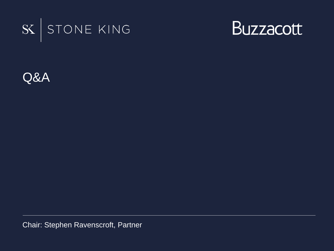



Q&A

Chair: Stephen Ravenscroft, Partner